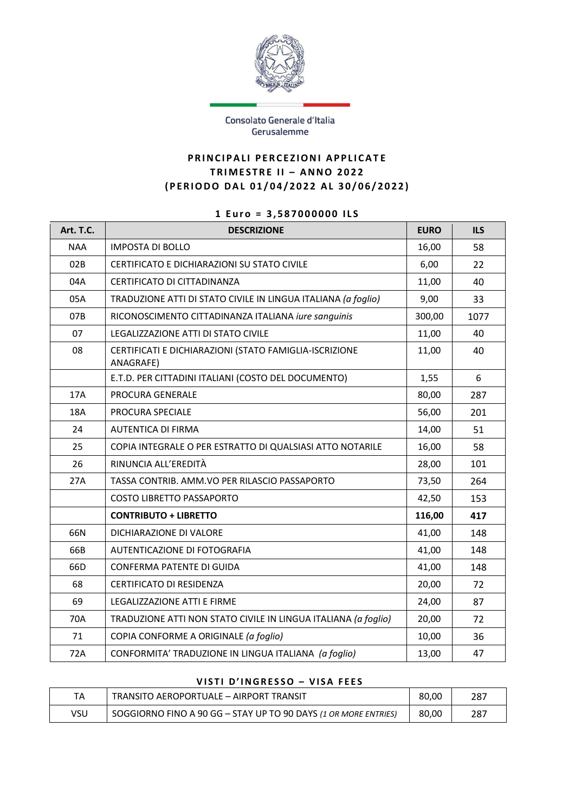

### Consolato Generale d'Italia Gerusalemme

## **PRINCIPALI PERCEZIONI APPLICATE T R I M E S T RE I I – A N N O 2 0 2 2 ( P E R I O D O D A L 0 1 / 0 4 / 2 0 2 2 A L 3 0 / 0 6 / 2 0 2 2 )**

# **1 E u r o = 3 , 5 8 7 0 0 0 0 0 0 I L S**

| Art. T.C.  | <b>DESCRIZIONE</b>                                                  | <b>EURO</b> | <b>ILS</b> |
|------------|---------------------------------------------------------------------|-------------|------------|
| <b>NAA</b> | <b>IMPOSTA DI BOLLO</b>                                             | 16,00       | 58         |
| 02B        | CERTIFICATO E DICHIARAZIONI SU STATO CIVILE                         | 6,00        | 22         |
| 04A        | CERTIFICATO DI CITTADINANZA                                         | 11,00       | 40         |
| 05A        | TRADUZIONE ATTI DI STATO CIVILE IN LINGUA ITALIANA (a foglio)       | 9,00        | 33         |
| 07B        | RICONOSCIMENTO CITTADINANZA ITALIANA iure sanguinis                 | 300,00      | 1077       |
| 07         | LEGALIZZAZIONE ATTI DI STATO CIVILE                                 | 11,00       | 40         |
| 08         | CERTIFICATI E DICHIARAZIONI (STATO FAMIGLIA-ISCRIZIONE<br>ANAGRAFE) | 11,00       | 40         |
|            | E.T.D. PER CITTADINI ITALIANI (COSTO DEL DOCUMENTO)                 | 1,55        | 6          |
| 17A        | PROCURA GENERALE                                                    | 80,00       | 287        |
| 18A        | PROCURA SPECIALE                                                    | 56,00       | 201        |
| 24         | AUTENTICA DI FIRMA                                                  | 14,00       | 51         |
| 25         | COPIA INTEGRALE O PER ESTRATTO DI QUALSIASI ATTO NOTARILE           | 16,00       | 58         |
| 26         | RINUNCIA ALL'EREDITÀ                                                | 28,00       | 101        |
| 27A        | TASSA CONTRIB. AMM.VO PER RILASCIO PASSAPORTO                       | 73,50       | 264        |
|            | <b>COSTO LIBRETTO PASSAPORTO</b>                                    | 42,50       | 153        |
|            | <b>CONTRIBUTO + LIBRETTO</b>                                        | 116,00      | 417        |
| 66N        | DICHIARAZIONE DI VALORE                                             | 41,00       | 148        |
| 66B        | AUTENTICAZIONE DI FOTOGRAFIA                                        | 41,00       | 148        |
| 66D        | CONFERMA PATENTE DI GUIDA                                           | 41,00       | 148        |
| 68         | <b>CERTIFICATO DI RESIDENZA</b>                                     | 20,00       | 72         |
| 69         | LEGALIZZAZIONE ATTI E FIRME                                         | 24,00       | 87         |
| 70A        | TRADUZIONE ATTI NON STATO CIVILE IN LINGUA ITALIANA (a foglio)      | 20,00       | 72         |
| 71         | COPIA CONFORME A ORIGINALE (a foglio)                               | 10,00       | 36         |
| 72A        | CONFORMITA' TRADUZIONE IN LINGUA ITALIANA (a foglio)                | 13,00       | 47         |

### **V I S T I D ' I N G R E S S O – V I S A F E E S**

| TA  | TRANSITO AEROPORTUALE - AIRPORT TRANSIT                         | 80.00 | 28. |
|-----|-----------------------------------------------------------------|-------|-----|
| VSU | SOGGIORNO FINO A 90 GG - STAY UP TO 90 DAYS (1 OR MORE ENTRIES) | 80,00 | 28. |